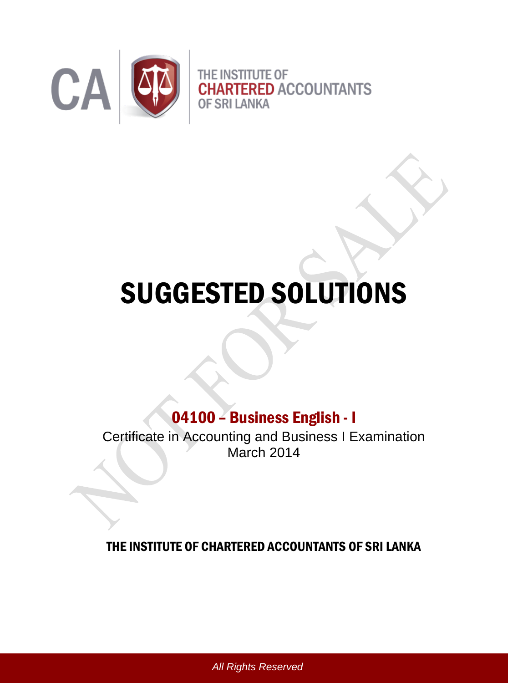

# SUGGESTED SOLUTIONS

## 04100 – Business English - I

Certificate in Accounting and Business I Examination March 2014

## THE INSTITUTE OF CHARTERED ACCOUNTANTS OF SRI LANKA

*All Rights Reserved*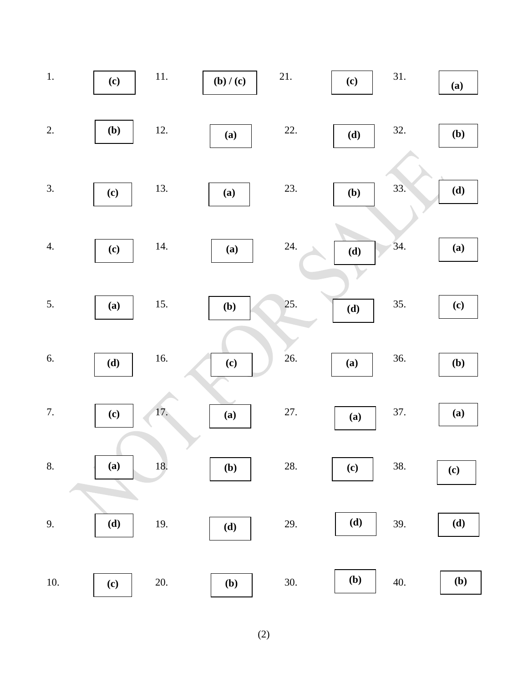

(2)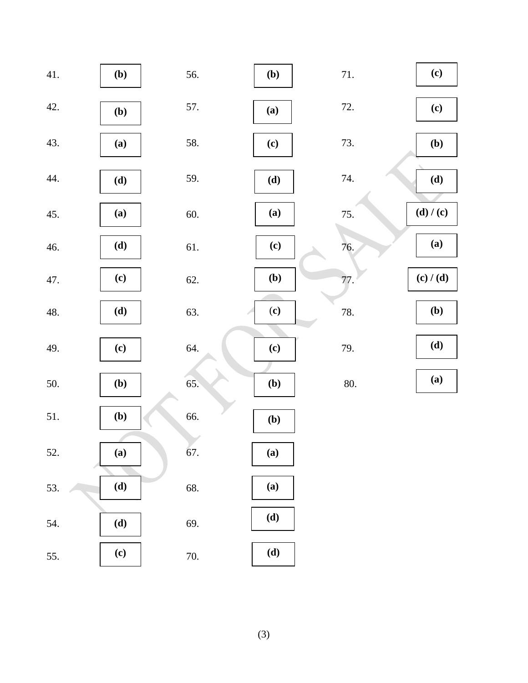| 41. | (b) | 56.   | (b) | $71. \,$ | (c)       |
|-----|-----|-------|-----|----------|-----------|
| 42. | (b) | 57.   | (a) | 72.      | (c)       |
| 43. | (a) | 58.   | (c) | 73.      | (b)       |
| 44. | (d) | 59.   | (d) | 74.      | (d)       |
| 45. | (a) | 60.   | (a) | 75.      | (d) / (c) |
| 46. | (d) | 61.   | (c) | 76.      | (a)       |
| 47. | (c) | 62.   | (b) | 77.      | (c) / (d) |
| 48. | (d) | 63.   | (c) | 78.      | (b)       |
| 49. | (c) | 64.   | (c) | 79.      | (d)       |
| 50. | (b) | 65.   | (b) | 80.      | (a)       |
| 51. | (b) | 66.   | (b) |          |           |
| 52. | (a) | 67.   | (a) |          |           |
| 53. | (d) | 68.   | (a) |          |           |
| 54. | (d) | 69.   | (d) |          |           |
| 55. | (c) | $70.$ | (d) |          |           |